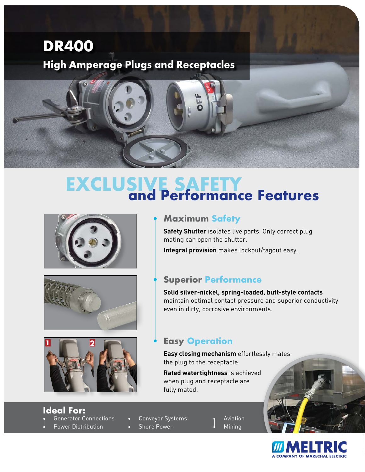

## **EXCLUSIVE SAFETY**<br>and Performance Features







## • **Maximum Safety**

**Safety Shutter** isolates live parts. Only correct plug mating can open the shutter.

**Integral provision** makes lockout/tagout easy.

### • **Superior Performance**

**Solid silver-nickel, spring-loaded, butt-style contacts**  maintain optimal contact pressure and superior conductivity even in dirty, corrosive environments.

## • **Easy Operation**

**Easy closing mechanism** effortlessly mates the plug to the receptacle.

**Rated watertightness** is achieved when plug and receptacle are fully mated.

• Generator Connections • Power Distribution **Ideal For:**

Conveyor Systems Shore Power

**Aviation** • Mining